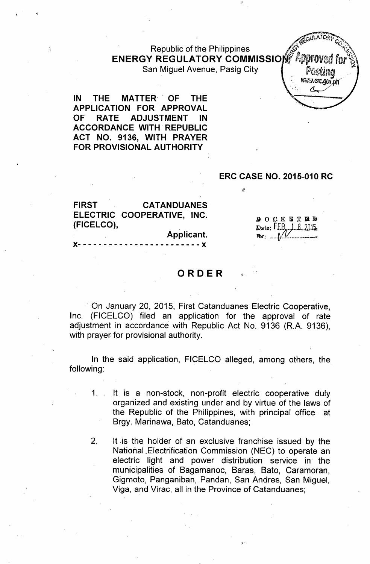# Republic of the Philippines ENERGY REGULATORY COMMISSION Appl

San Miguel Avenue, Pasig City

1'.

IN THE MATTER OF THE APPLICATION FOR APPROVAL OF RATE ADJUSTMENT IN ACCORDANCE WITH REPUBLIC ACT NO. 9136, WITH PRAYER FOR PROVISIONAL AUTHORITY

#### ERC CASE NO. 2015-010 RC

FIRST CATANDUANES ELECTRIC COOPERATIVE, INC. (FICELCO),

> Applicant. )(- - - - - - - - - - - - - - - - - - - - - - - - )(

**DOCK ET ED** Date: FEB 1 8 2015

итти.егс.gov.ph

# ORDER

. On January 20, 2015, First Catanduanes Electric Cooperative, Inc. (FICELCO) filed an application for the approval of rate adjustment in accordance with Republic Act No. 9136 (R.A. 9136), with prayer for provisional authority.

In the said application, FICELCO alleged, among others, the following:

1. It is a non-stock, non-profit electric cooperative duly organized and existing under and by virtue of the laws of the Republic of the Philippines, with principal office, at Brgy. Marinawa, Bato, Catanduanes;

2. It is the holder of an exclusive franchise issued by the National.Electrification Commission (NEC) to operate an electric light and power distrib'ution service in the municipalities of Bagamanoc, Baras, Bato, Caramoran, Gigmoto, Panganiban, Pandan, San Andres, San Miguel, Viga, and Virac, all in the Province of Catanduanes;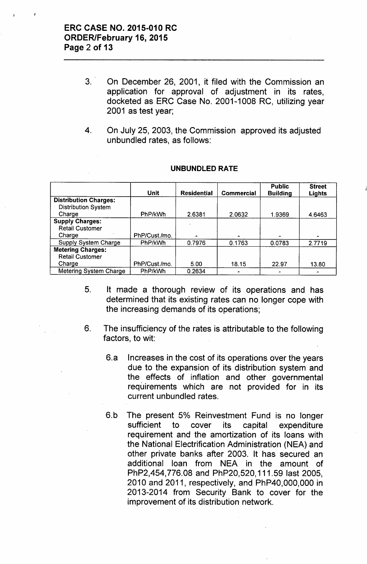- 3. On December 26, 2001, it filed with the Commission an application for approval of adjustment in its rates, docketed as ERC Case No. 2001-1008 RC, utilizing year 2001 as test year;
- 4. On July 25, 2003, the Commission approved its adjusted unbundled rates, as follows:

|                               | <b>Unit</b>   | <b>Residential</b> | <b>Commercial</b> | <b>Public</b><br><b>Building</b> | <b>Street</b><br>Lights |
|-------------------------------|---------------|--------------------|-------------------|----------------------------------|-------------------------|
| <b>Distribution Charges:</b>  |               |                    |                   |                                  |                         |
| <b>Distribution System</b>    |               |                    |                   |                                  |                         |
| Charge                        | PhP/kWh       | 2.6381             | 2.0632            | 1.9369                           | 4.6463                  |
| <b>Supply Charges:</b>        |               |                    |                   |                                  |                         |
| <b>Retail Customer</b>        |               |                    |                   |                                  |                         |
| Charge                        | PhP/Cust./mo. |                    |                   |                                  |                         |
| <b>Supply System Charge</b>   | PhP/kWh       | 0.7976             | 0.1763            | 0.0783                           | 2.7719                  |
| <b>Metering Charges:</b>      |               |                    |                   |                                  |                         |
| <b>Retail Customer</b>        |               |                    |                   |                                  |                         |
| Charge                        | PhP/Cust./mo. | 5.00               | 18.15             | 22.97                            | 13.80                   |
| <b>Metering System Charge</b> | PhP/kWh       | 0.2634             |                   |                                  |                         |

#### **UNBUNDLED RATE**

- 5. It made a thorough review of its operations and has determined that its existing rates can no longer cope with the increasing demands of its operations;
- 6. The insufficiency of the rates is attributable to the following factors, to wit:
	- 6.a Increases in the cost of its operations over the years due to the expansion of its distribution system and the effects of inflation and other governmental requirements which are not provided for in its current unbundled rates.
	- 6.b The present 5% Reinvestment Fund is no longer sufficient to cover its capital expenditure requirement and the amortization of its loans with the National Electrification Administration (NEA) and other private banks after 2003. It has secured an additional loan from NEA in the amount of PhP2,454,776.08 and PhP20,520, 111.59 last 2005, 2010 and 2011, respectively, and PhP40,OOO,OOOin 2013-2014 from Security Bank to cover for the improvement of its distribution network.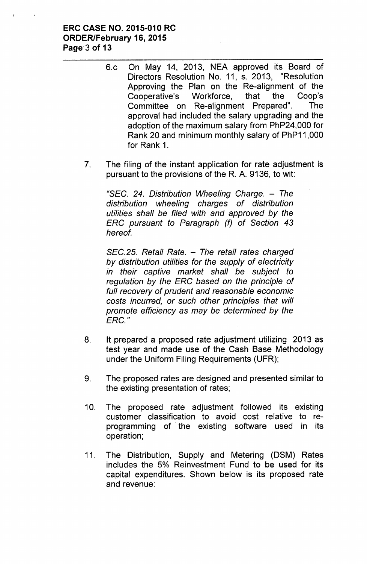## ERC CASE NO. 2015-010 RC ORDER/February 16, 2015 Page 3 of 13

- 6.c On May 14, 2013, NEA approved its Board of Directors Resolution No. 11, s. 2013, "Resolution Approving the Plan on the Re-alignment of the Cooperative's Workforce, that the Coop's Committee on Re-alignment Prepared". The approval had included the salary upgrading and the adoption of the maximum salary from PhP24,000 for Rank 20 and minimum monthly salary of PhP11 ,000 for Rank 1.
- 7. The filing of the instant application for rate adjustment is pursuant to the provisions of the R. A. 9136, to wit:

*USEC.*24. *Distribution Wheeling Charge. - The distribution wheeling charges of distribution utilities shall be filed with and approved by the ERC pursuant to Paragraph (f) of Section 43 hereof.*

*SEC.*25. *Retail Rate. - The retail rates charged by distribution utilities for the supply of electricity in their captive market shall be subject to regulation by the ERC based on the principle of full recovery of prudent and reasonable economic* costs *incurred, or such other principles that will promote efficiency* as *may be determined by the ERC."*

- 8. It prepared a proposed rate adjustment utilizing 2013 as test year and made use of the Cash Base Methodology under the Uniform Filing Requirements (UFR);
- 9. The proposed rates are designed and presented similar to the existing presentation of rates;
- 10. The proposed rate adjustment followed its existing customer classification to avoid cost relative to reprogramming of. the existing software used in its operation;
- 11. The Distribution, Supply and Metering (DSM) Rates includes the 5% Reinvestment Fund to be used for its capital expenditures. Shown below is its proposed rate and revenue: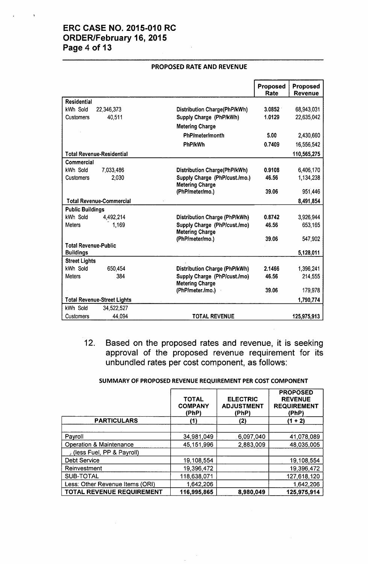# ERC CASE NO. 2015-010 RC ORDER/February 16, 2015 Page 4 of 13

|                                          |                                    |                                                        | Proposed | Proposed       |
|------------------------------------------|------------------------------------|--------------------------------------------------------|----------|----------------|
|                                          |                                    |                                                        | Rate     | <b>Revenue</b> |
| <b>Residential</b>                       |                                    |                                                        |          |                |
| kWh Sold                                 | 22,346,373                         | <b>Distribution Charge(PhP/kWh)</b>                    | 3.0852   | 68,943,031     |
| <b>Customers</b>                         | 40,511                             | Supply Charge (PhP/kWh)                                | 1.0129   | 22,635,042     |
|                                          |                                    | <b>Metering Charge</b>                                 |          |                |
|                                          |                                    | <b>PhP/meter/month</b>                                 | 5.00     | 2,430,660      |
|                                          |                                    | <b>PhP/kWh</b>                                         | 0.7409   | 16,556,542     |
|                                          | <b>Total Revenue-Residential</b>   |                                                        |          | 110,565,275    |
| Commercial                               |                                    |                                                        |          |                |
| kWh Sold                                 | 7,033,486                          | <b>Distribution Charge(PhP/kWh)</b>                    | 0.9108   | 6,406,170      |
| <b>Customers</b>                         | 2.030                              | Supply Charge (PhP/cust./mo.)                          | 46.56    | 1,134,238      |
|                                          |                                    | <b>Metering Charge</b>                                 |          |                |
|                                          |                                    | (PhP/meter/mo.)                                        | 39.06    | 951,446        |
|                                          | <b>Total Revenue-Commercial</b>    |                                                        |          | 8,491,854      |
| <b>Public Buildings</b>                  |                                    |                                                        |          |                |
| kWh Sold                                 | 4,492,214                          | <b>Distribution Charge (PhP/kWh)</b>                   | 0.8742   | 3,926,944      |
| <b>Meters</b>                            | 1,169                              | Supply Charge (PhP/cust./mo)<br><b>Metering Charge</b> | 46.56    | 653,165        |
|                                          |                                    | (PhP/meter/mo.)                                        | 39.06    | 547,902        |
| <b>Total Revenue-Public</b>              |                                    |                                                        |          |                |
| <b>Buildings</b><br><b>Street Lights</b> |                                    |                                                        |          | 5,128,011      |
| kWh Sold                                 | 650,454                            | <b>Distribution Charge (PhP/kWh)</b>                   | 2.1466   | 1,396,241      |
| <b>Meters</b>                            | 384                                | Supply Charge (PhP/cust./mo)                           | 46.56    | 214,555        |
|                                          |                                    | <b>Metering Charge</b>                                 |          |                |
|                                          |                                    | (PhP/meter./mo.)                                       | 39.06    | 179,978        |
|                                          | <b>Total Revenue-Street Lights</b> |                                                        |          | 1,790,774      |
| kWh Sold                                 | 34,522,527                         |                                                        |          |                |
| Customers                                | 44.094                             | <b>TOTAL REVENUE</b>                                   |          | 125,975,913    |

#### PROPOSED RATE AND REVENUE

12. Based on the proposed rates and revenue, it is seeking approval of the proposed revenue requirement for its unbundled rates per cost component, as follows:

#### SUMMARY OF PROPOSED REVENUE REQUIREMENT PER COST COMPONENT

|                                    | <b>TOTAL</b><br><b>COMPANY</b><br>(PhP) | <b>ELECTRIC</b><br><b>ADJUSTMENT</b><br>(PhP) | <b>PROPOSED</b><br><b>REVENUE</b><br><b>REQUIREMENT</b><br>(PhP) |
|------------------------------------|-----------------------------------------|-----------------------------------------------|------------------------------------------------------------------|
| <b>PARTICULARS</b>                 | (1)                                     | (2)                                           | (1 + 2)                                                          |
|                                    |                                         |                                               |                                                                  |
| Payroll                            | 34,981,049                              | .6,097,040                                    | 41,078,089                                                       |
| <b>Operation &amp; Maintenance</b> | 45,151,996                              | 2,883,009                                     | 48,035,005                                                       |
| (less Fuel, PP & Payroll)          |                                         |                                               |                                                                  |
| <b>Debt Service</b>                | 19,108,554                              |                                               | 19,108,554                                                       |
| Reinvestment                       | 19,396,472                              |                                               | 19,396,472                                                       |
| <b>SUB-TOTAL</b>                   | 118,638,071                             |                                               | 127,618,120                                                      |
| Less: Other Revenue Items (ORI)    | 1,642,206                               |                                               | 1,642,206                                                        |
| <b>TOTAL REVENUE REQUIREMENT</b>   | 116,995,865                             | 8,980,049                                     | 125,975,914                                                      |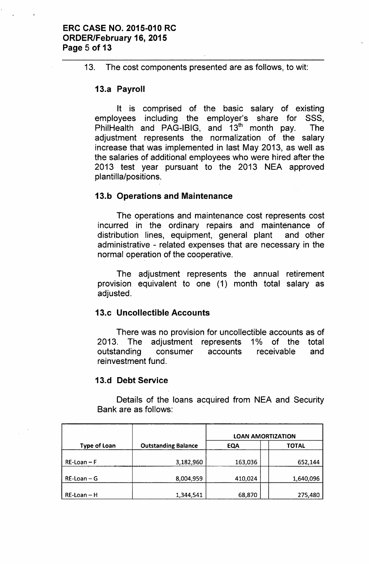### ERC CASE NO. 2015-010 RC ORDER/February 16, 2015 Page 5 of 13

13. The cost components presented are as follows, to wit:

# 13.a Payroll

It is comprised of the basic salary of existing employees including the employer's share for SSS, PhilHealth and PAG-IBIG, and 13th month pay. The adjustment represents the normalization of the salary increase that was implemented in last May 2013, as well as the salaries of additional employees who were hired after the 2013 test year pursuant to the 2013 NEA approved plantilla/positions.

# 13.b Operations and Maintenance

The operations and maintenance cost represents cost incurred in the ordinary repairs and maintenance of distribution lines, equipment, general plant and other administrative - related expenses that are necessary in the normal operation of the cooperative.

The adjustment represents the annual retirement provision equivalent to one (1) month total salary as adjusted.

# 13.c Uncollectible Accounts

There was no provision for uncollectible accounts as of 2013. The adjustment represents 1% of the total outstanding consumer accounts receivable and reinvestment fund.

# 13.d Debt Service

Details of the loans acquired from NEA and Security Bank are as follows:

|                     |                            | <b>LOAN AMORTIZATION</b> |              |  |
|---------------------|----------------------------|--------------------------|--------------|--|
| <b>Type of Loan</b> | <b>Outstanding Balance</b> | <b>EQA</b>               | <b>TOTAL</b> |  |
| $RE$ -Loan – F      | 3,182,960                  | 163,036                  | 652,144      |  |
| $RE$ -Loan – G      | 8,004,959                  | 410,024                  | 1,640,096    |  |
| $RE$ -Loan – H      | 1,344,541                  | 68,870                   | 275,480      |  |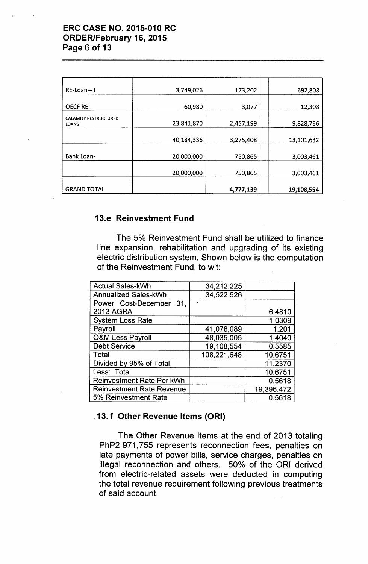# ERC CASE NO. 2015-010 RC ORDER/February 16, 2015 Page 6 of 13

| RE-Loan--I                                   | 3,749,026  | 173,202   | 692,808    |
|----------------------------------------------|------------|-----------|------------|
| <b>OECF RE</b>                               | 60,980     | 3,077     | 12,308     |
| <b>CALAMITY RESTRUCTURED</b><br><b>LOANS</b> | 23,841,870 | 2,457,199 | 9,828,796  |
|                                              | 40,184,336 | 3,275,408 | 13,101,632 |
| <b>Bank Loan-</b>                            | 20,000,000 | 750,865   | 3,003,461  |
|                                              | 20,000,000 | 750,865   | 3,003,461  |
| <b>GRAND TOTAL</b>                           |            | 4,777,139 | 19,108,554 |

# 13.e Reinvestment Fund

The 5% Reinvestment Fund shall be utilized to finance line expansion, rehabilitation and upgrading of its existing electric distribution system. Shown below is the computation of the Reinvestment Fund, to wit:

| <b>Actual Sales-kWh</b>          | 34,212,225  |            |
|----------------------------------|-------------|------------|
| <b>Annualized Sales-kWh</b>      | 34,522,526  |            |
| Power Cost-December 31,          |             |            |
| <b>2013 AGRA</b>                 |             | 6.4810     |
| <b>System Loss Rate</b>          |             | 1.0309     |
| Payroll                          | 41,078,089  | 1.201      |
| <b>O&amp;M Less Payroll</b>      | 48,035,005  | 1.4040     |
| <b>Debt Service</b>              | 19,108,554  | 0.5585     |
| Total                            | 108,221,648 | 10.6751    |
| Divided by 95% of Total          |             | 11.2370    |
| Less: Total                      |             | 10.6751    |
| <b>Reinvestment Rate Per kWh</b> |             | 0.5618     |
| <b>Reinvestment Rate Revenue</b> |             | 19,396.472 |
| 5% Reinvestment Rate             |             | 0.5618     |

# .13. f Other Revenue Items (ORI)

The Other Revenue Items at the end of 2013 totaling PhP2,971,755 represents reconnection fees, penalties on late payments of power bills, service charges, penalties on illegal reconnection and others. 50% of the ORI derived from electric-related assets were deducted in computing the total revenue requirement following previous treatments of said account.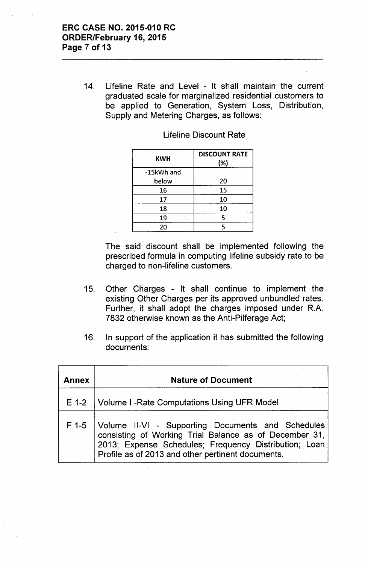14. Lifeline Rate and Level - It shall maintain the current graduated scale for marginalized residential customers to be applied to Generation, System Loss, Distribution, Supply and Metering Charges, as follows:

| KWH        | <b>DISCOUNT RATE</b><br>(%) |
|------------|-----------------------------|
| -15kWh and |                             |
| below      | 20                          |
| 16         | 15                          |
| 17         | 10                          |
| 18         | 10                          |
| 19         | 5                           |
| 20         |                             |

#### Lifeline Discount Rate

The said discount shall be implemented following the prescribed formula in computing lifeline subsidy rate to be charged to non-lifeline customers.

- 15. Other Charges It shall continue to implement the existing Other Charges per its approved unbundled rates. Further, it shall adopt the charges imposed under R.A. 7832 otherwise known as the Anti-Pilferage Act;
- 16. In support of the application it has submitted the following documents:

| <b>Annex</b> | <b>Nature of Document</b>                                                                                                                                                                                                 |
|--------------|---------------------------------------------------------------------------------------------------------------------------------------------------------------------------------------------------------------------------|
|              | E 1-2   Volume I - Rate Computations Using UFR Model                                                                                                                                                                      |
| F 1-5        | Volume II-VI - Supporting Documents and Schedules<br>consisting of Working Trial Balance as of December 31,<br>2013; Expense Schedules; Frequency Distribution; Loan<br>Profile as of 2013 and other pertinent documents. |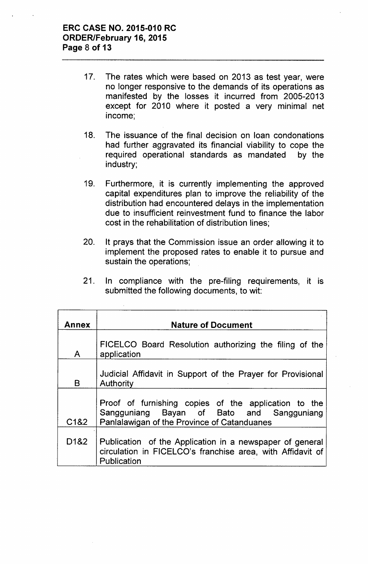- 17. The rates which were based on 2013 as test year, were no longer responsive to the demands of its operations as manifested by the losses it incurred from 2005-2013 except for 2010 where it posted a very minimal net income;
- 18. The issuance of the final decision on loan condonations had further aggravated its financial viability to cope the required operational standards as mandated by the industry;
- 19. Furthermore, it is currently implementing the approved capital expenditures plan to improve the reliability of the distribution had encountered delays in the implementation due to insufficient reinvestment fund to finance the labor cost in the rehabilitation of distribution lines;
- 20. It prays that the Commission issue an order allowing it to implement the proposed rates to enable it to pursue and sustain the operations;
- 21. In compliance with the pre-filing requirements, it is submitted the following documents, to wit:

| <b>Annex</b>                  | <b>Nature of Document</b>                                                                                                                        |  |  |  |
|-------------------------------|--------------------------------------------------------------------------------------------------------------------------------------------------|--|--|--|
| $\mathsf{A}$                  | FICELCO Board Resolution authorizing the filing of the<br>application                                                                            |  |  |  |
| B                             | Judicial Affidavit in Support of the Prayer for Provisional<br>Authority                                                                         |  |  |  |
| C <sub>1</sub> & <sub>2</sub> | Proof of furnishing copies of the application to the<br>Sangguniang Bayan of Bato and Sangguniang<br>Panlalawigan of the Province of Catanduanes |  |  |  |
| D <sub>1</sub> &2             | Publication of the Application in a newspaper of general<br>circulation in FICELCO's franchise area, with Affidavit of<br>Publication            |  |  |  |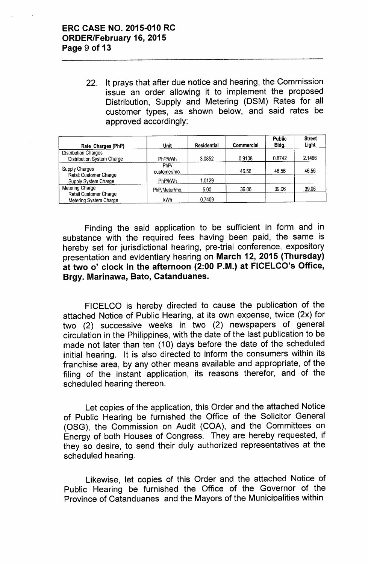22. It prays that after due notice and hearing, the Commission issue an order allowing it to implement the proposed Distribution, Supply and Metering (DSM) Rates for all customer types, as shown below, and said rates be approved accordingly:

| Rate Charges (PhP)                                                      | Unit                 | Residential | Commercial | <b>Public</b><br>Bldg. | <b>Street</b><br>Light |
|-------------------------------------------------------------------------|----------------------|-------------|------------|------------------------|------------------------|
| <b>Distribution Charges</b><br>Distribution System Charge               | PhP/kWh              | 3.0852      | 0.9108     | 0.8742                 | 2.1466                 |
| <b>Supply Charges</b><br>Retail Customer Charge<br>Supply System Charge | PhP/<br>customer/mo. |             | 46.56      | 46.56                  | 46.56                  |
|                                                                         | PhP/kWh              | 1.0129      |            |                        |                        |
| Metering Charge<br>Retail Customer Charge<br>Metering System Charge     | PhP/Meter/mo.        | 5.00        | 39.06      | 39.06                  | 39.06                  |
|                                                                         | kWh                  | 0.7409      |            |                        |                        |

Finding the said application to be sufficient in form and in substance with the required fees having been paid, the same is hereby set for jurisdictional hearing, pre-trial conference, expository presentation and evidentiary hearing on March 12, 2015 (Thursday) at two 0' clock in the afternoon (2:00 P.M.) at FICELCO's Office, Brgy. Marinawa, Bato, Catanduanes.

FICELCO is hereby directed to cause the publication of the attached Notice of Public Hearing, at its own expense, twice (2x) for two (2) successive weeks in two (2) newspapers of general circulation in the Philippines, with the date of the last publication to be made not later than ten (10) days before the date of the scheduled initial hearing. It is also directed to inform the consumers within its franchise area, by any other means available and appropriate, of the filing of the instant application, its reasons therefor, and of the scheduled hearing thereon.

Let copies of the application, this Order and the attached Notice of Public Hearing be furnished the Office of the Solicitor General (OSG), the Commission on Audit (COA), and the Committees on Energy of both Houses of Congress. They are hereby requested, if they so desire, to send their duly authorized representatives at the scheduled hearing.

Likewise, let copies of this Order and the attached Notice of Public Hearing be furnished the Office of the Governor of the Province of Catanduanes and the Mayors of the Municipalities within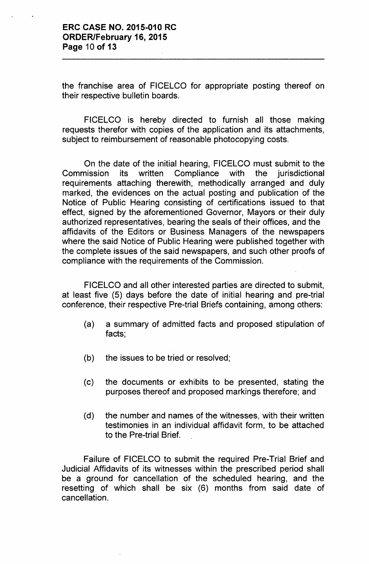the franchise area of FICELCO for appropriate posting thereof on their respective bulletin boards.

FICELCO is hereby directed to furnish all those making requests therefor with copies of the application and its attachments, subject to reimbursement of reasonable photocopying costs.

On the date of the initial hearing, FICELCO must submit to the Commission its written Compliance with the jurisdictional requirements attaching therewith, methodically arranged and duly marked, the evidences on the actual posting and publication of the Notice of Public Hearing consisting of certifications issued to that effect, signed by the aforementioned Governor, Mayors or their duly authorized representatives, bearing the seals of their offices, and the affidavits of the Editors or Business Managers of the newspapers where the said Notice of Public Hearing were published together with the complete issues of the said newspapers, and such other proofs of compliance with the requirements of the Commission.

FICELCO and all other interested parties are directed to submit, at least five (5) days before the date of initial hearing and pre-trial conference, their respective Pre-trial Briefs containing, among others:

- (a) a summary of admitted facts and proposed stipulation of facts;
- (b) the issues to be tried or resolved;
- (c) the documents or exhibits to be presented, stating the purposes thereof and proposed markings therefore; and
- (d) the number and names of the witnesses, with their written testimonies in an individual affidavit form, to be attached to the Pre-trial Brief.

Failure of FICELCO to submit the required Pre-Trial Brief and Judicial Affidavits of its witnesses within the prescribed period shall be a ground for cancellation of the scheduled hearing, and the resetting of which shall be six (6) months from said date of cancellation.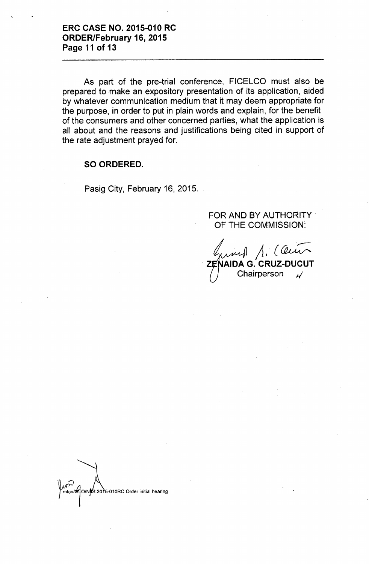As part of the pre-trial conference, FICELCO must also be prepared to make an expository presentation of its application, aided by whatever communication medium that it may deem appropriate for the purpose, in order to put in plain words and explain, for the benefit of the consumers and other concerned parties, what the application is all about and the reasons and justifications being cited in support of the rate adjustment prayed for.

#### SO ORDERED.

Pasig City, February 16, 2015.

FOR AND BY AUTHORITY. OF THE COMMISSION:

 $\Lambda$ . (Cein **IAIDA G. CRUZ-DUCUT** Chairperson *J/*

mtco/of O/NbS.2015-010RC Order initial hearing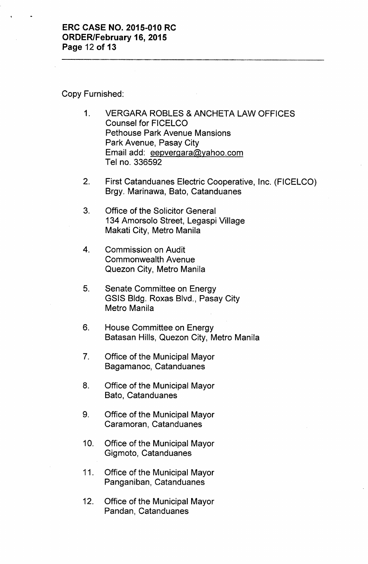### Copy Furnished:

- 1. VERGARA ROBLES & ANCHETA LAW OFFICES Counsel for FICELCO Pethouse Park Avenue Mansions Park Avenue, Pasay City Email add: eepvergara@yahoo.com Tel no. 336592
- 2. First Catanduanes Electric Cooperative, Inc. (FICELCO) Brgy. Marinawa, Bato, Catanduanes
- 3. Office of the Solicitor General 134 Amorsolo Street, Legaspi Village Makati City, Metro Manila
- 4. Commission on Audit Commonwealth Avenue Quezon City, Metro Manila
- 5. Senate Committee on Energy GSIS Bldg. Roxas Blvd., Pasay City Metro Manila
- 6. House Committee on Energy Batasan Hills, Quezon City, Metro Manila
- 7. Office of the Municipal Mayor Bagamanoc, Catanduanes
- 8. Office of the Municipal Mayor Bato, Catanduanes
- 9. Office of the Municipal Mayor Caramoran, Catanduanes
- 10. Office of the Municipal Mayor Gigmoto, Catanduanes
- 11. Office of the Municipal Mayor Panganiban, Catanduanes
- 12. Office of the Municipal Mayor Pandan, Catanduanes